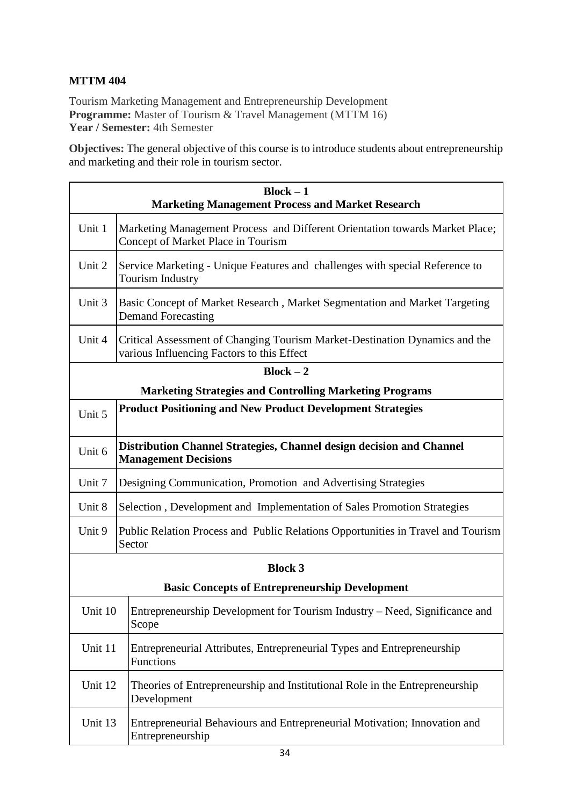## **MTTM 404**

Tourism Marketing Management and Entrepreneurship Development **Programme:** Master of Tourism & Travel Management (MTTM 16) **Year / Semester:** 4th Semester

**Objectives:** The general objective of this course is to introduce students about entrepreneurship and marketing and their role in tourism sector.

| $Block - 1$<br><b>Marketing Management Process and Market Research</b> |                                                                                                                           |  |
|------------------------------------------------------------------------|---------------------------------------------------------------------------------------------------------------------------|--|
| Unit 1                                                                 | Marketing Management Process and Different Orientation towards Market Place;<br>Concept of Market Place in Tourism        |  |
| Unit 2                                                                 | Service Marketing - Unique Features and challenges with special Reference to<br><b>Tourism Industry</b>                   |  |
| Unit 3                                                                 | Basic Concept of Market Research, Market Segmentation and Market Targeting<br><b>Demand Forecasting</b>                   |  |
| Unit 4                                                                 | Critical Assessment of Changing Tourism Market-Destination Dynamics and the<br>various Influencing Factors to this Effect |  |
| $Block - 2$                                                            |                                                                                                                           |  |
| <b>Marketing Strategies and Controlling Marketing Programs</b>         |                                                                                                                           |  |
| Unit 5                                                                 | <b>Product Positioning and New Product Development Strategies</b>                                                         |  |
| Unit 6                                                                 | Distribution Channel Strategies, Channel design decision and Channel<br><b>Management Decisions</b>                       |  |
| Unit 7                                                                 | Designing Communication, Promotion and Advertising Strategies                                                             |  |
| Unit 8                                                                 | Selection, Development and Implementation of Sales Promotion Strategies                                                   |  |
| Unit 9                                                                 | Public Relation Process and Public Relations Opportunities in Travel and Tourism<br>Sector                                |  |
| <b>Block 3</b>                                                         |                                                                                                                           |  |
| <b>Basic Concepts of Entrepreneurship Development</b>                  |                                                                                                                           |  |
| Unit 10                                                                | Entrepreneurship Development for Tourism Industry – Need, Significance and<br>Scope                                       |  |
| Unit 11                                                                | Entrepreneurial Attributes, Entrepreneurial Types and Entrepreneurship<br>Functions                                       |  |
| Unit 12                                                                | Theories of Entrepreneurship and Institutional Role in the Entrepreneurship<br>Development                                |  |
| Unit 13                                                                | Entrepreneurial Behaviours and Entrepreneurial Motivation; Innovation and<br>Entrepreneurship                             |  |